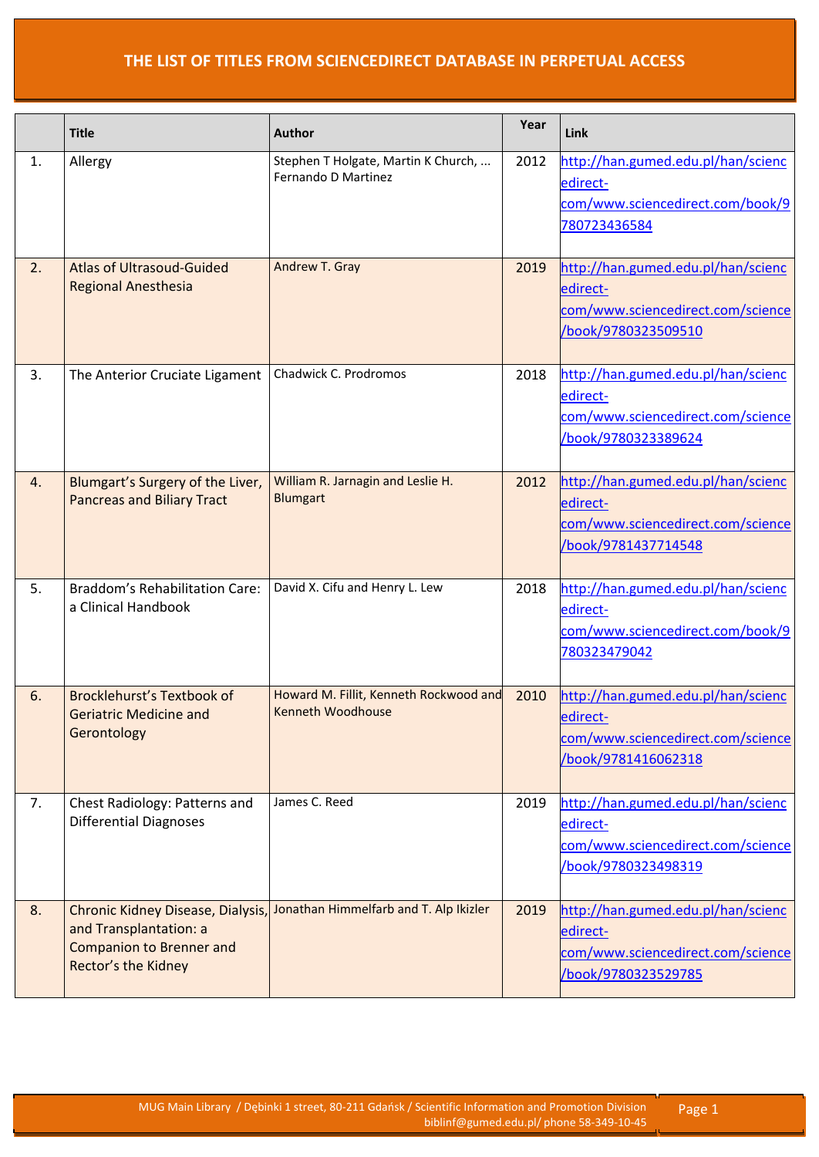|    | <b>Title</b>                                                                                                          | <b>Author</b>                                               | Year | Link                                                                                                       |
|----|-----------------------------------------------------------------------------------------------------------------------|-------------------------------------------------------------|------|------------------------------------------------------------------------------------------------------------|
| 1. | Allergy                                                                                                               | Stephen T Holgate, Martin K Church,<br>Fernando D Martinez  | 2012 | http://han.gumed.edu.pl/han/scienc<br>edirect-<br>com/www.sciencedirect.com/book/9<br>780723436584         |
| 2. | <b>Atlas of Ultrasoud-Guided</b><br><b>Regional Anesthesia</b>                                                        | Andrew T. Gray                                              | 2019 | http://han.gumed.edu.pl/han/scienc<br>edirect-<br>com/www.sciencedirect.com/science<br>/book/9780323509510 |
| 3. | The Anterior Cruciate Ligament                                                                                        | Chadwick C. Prodromos                                       | 2018 | http://han.gumed.edu.pl/han/scienc<br>edirect-<br>com/www.sciencedirect.com/science<br>book/9780323389624  |
| 4. | Blumgart's Surgery of the Liver,<br><b>Pancreas and Biliary Tract</b>                                                 | William R. Jarnagin and Leslie H.<br><b>Blumgart</b>        | 2012 | http://han.gumed.edu.pl/han/scienc<br>edirect-<br>com/www.sciencedirect.com/science<br>book/9781437714548  |
| 5. | <b>Braddom's Rehabilitation Care:</b><br>a Clinical Handbook                                                          | David X. Cifu and Henry L. Lew                              | 2018 | http://han.gumed.edu.pl/han/scienc<br>edirect-<br>com/www.sciencedirect.com/book/9<br>780323479042         |
| 6. | Brocklehurst's Textbook of<br><b>Geriatric Medicine and</b><br>Gerontology                                            | Howard M. Fillit, Kenneth Rockwood and<br>Kenneth Woodhouse | 2010 | http://han.gumed.edu.pl/han/scienc<br>edirect-<br>com/www.sciencedirect.com/science<br>/book/9781416062318 |
| 7. | Chest Radiology: Patterns and<br><b>Differential Diagnoses</b>                                                        | James C. Reed                                               | 2019 | http://han.gumed.edu.pl/han/scienc<br>edirect-<br>com/www.sciencedirect.com/science<br>/book/9780323498319 |
| 8. | Chronic Kidney Disease, Dialysis,<br>and Transplantation: a<br><b>Companion to Brenner and</b><br>Rector's the Kidney | Jonathan Himmelfarb and T. Alp Ikizler                      | 2019 | http://han.gumed.edu.pl/han/scienc<br>edirect-<br>com/www.sciencedirect.com/science<br>book/9780323529785  |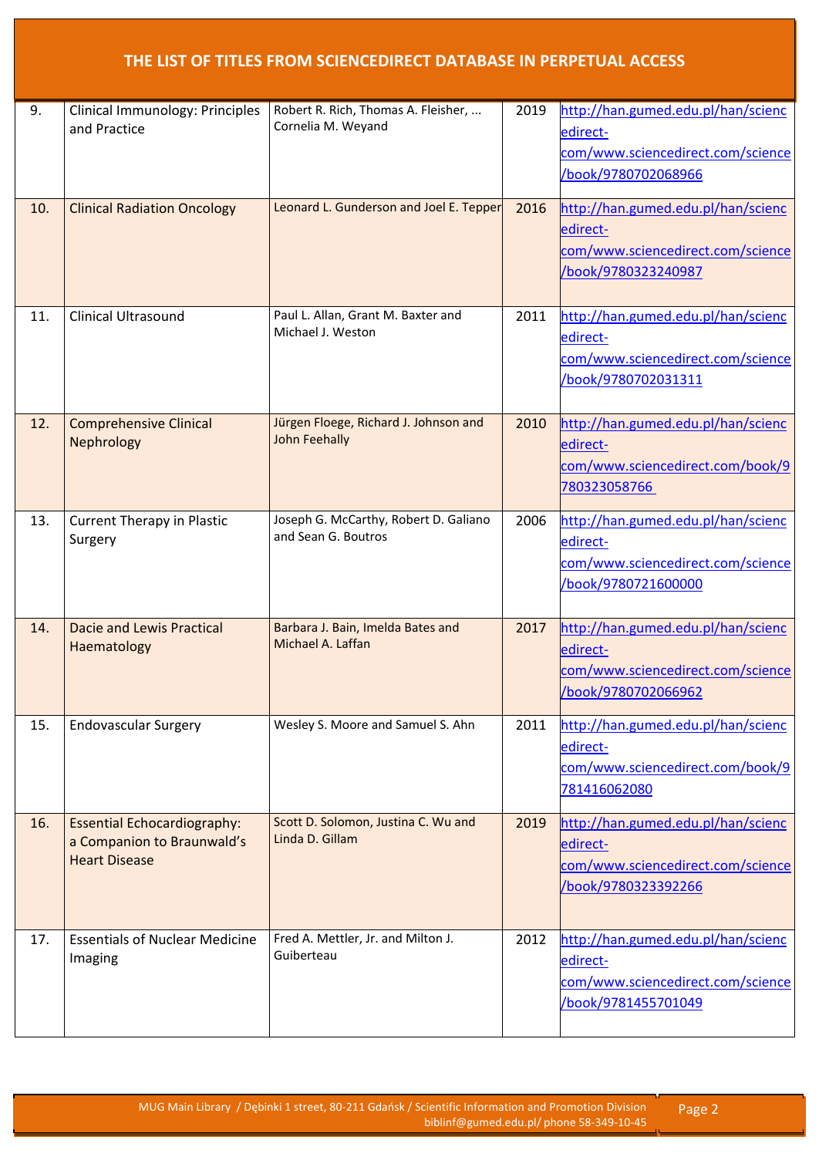| 9.  | Clinical Immunology: Principles<br>and Practice                                          | Robert R. Rich, Thomas A. Fleisher,<br>Cornelia M. Weyand     | 2019 | http://han.gumed.edu.pl/han/scienc<br>edirect-<br>com/www.sciencedirect.com/science<br>book/9780702068966  |
|-----|------------------------------------------------------------------------------------------|---------------------------------------------------------------|------|------------------------------------------------------------------------------------------------------------|
| 10. | <b>Clinical Radiation Oncology</b>                                                       | Leonard L. Gunderson and Joel E. Tepper                       | 2016 | http://han.gumed.edu.pl/han/scienc<br>edirect-<br>com/www.sciencedirect.com/science<br>/book/9780323240987 |
| 11. | <b>Clinical Ultrasound</b>                                                               | Paul L. Allan, Grant M. Baxter and<br>Michael J. Weston       | 2011 | http://han.gumed.edu.pl/han/scienc<br>edirect-<br>com/www.sciencedirect.com/science<br>book/9780702031311  |
| 12. | <b>Comprehensive Clinical</b><br>Nephrology                                              | Jürgen Floege, Richard J. Johnson and<br><b>John Feehally</b> | 2010 | http://han.gumed.edu.pl/han/scienc<br>edirect-<br>com/www.sciencedirect.com/book/9<br>780323058766         |
| 13. | <b>Current Therapy in Plastic</b><br>Surgery                                             | Joseph G. McCarthy, Robert D. Galiano<br>and Sean G. Boutros  | 2006 | http://han.gumed.edu.pl/han/scienc<br>edirect-<br>com/www.sciencedirect.com/science<br>book/9780721600000  |
| 14. | <b>Dacie and Lewis Practical</b><br>Haematology                                          | Barbara J. Bain, Imelda Bates and<br>Michael A. Laffan        | 2017 | http://han.gumed.edu.pl/han/scienc<br>edirect-<br>com/www.sciencedirect.com/science<br>/book/9780702066962 |
| 15. | <b>Endovascular Surgery</b>                                                              | Wesley S. Moore and Samuel S. Ahn                             | 2011 | http://han.gumed.edu.pl/han/scienc<br>edirect-<br>com/www.sciencedirect.com/book/9<br>781416062080         |
| 16. | <b>Essential Echocardiography:</b><br>a Companion to Braunwald's<br><b>Heart Disease</b> | Scott D. Solomon, Justina C. Wu and<br>Linda D. Gillam        | 2019 | http://han.gumed.edu.pl/han/scienc<br>edirect-<br>com/www.sciencedirect.com/science<br>/book/9780323392266 |
| 17. | <b>Essentials of Nuclear Medicine</b><br>Imaging                                         | Fred A. Mettler, Jr. and Milton J.<br>Guiberteau              | 2012 | http://han.gumed.edu.pl/han/scienc<br>edirect-<br>com/www.sciencedirect.com/science<br>book/9781455701049  |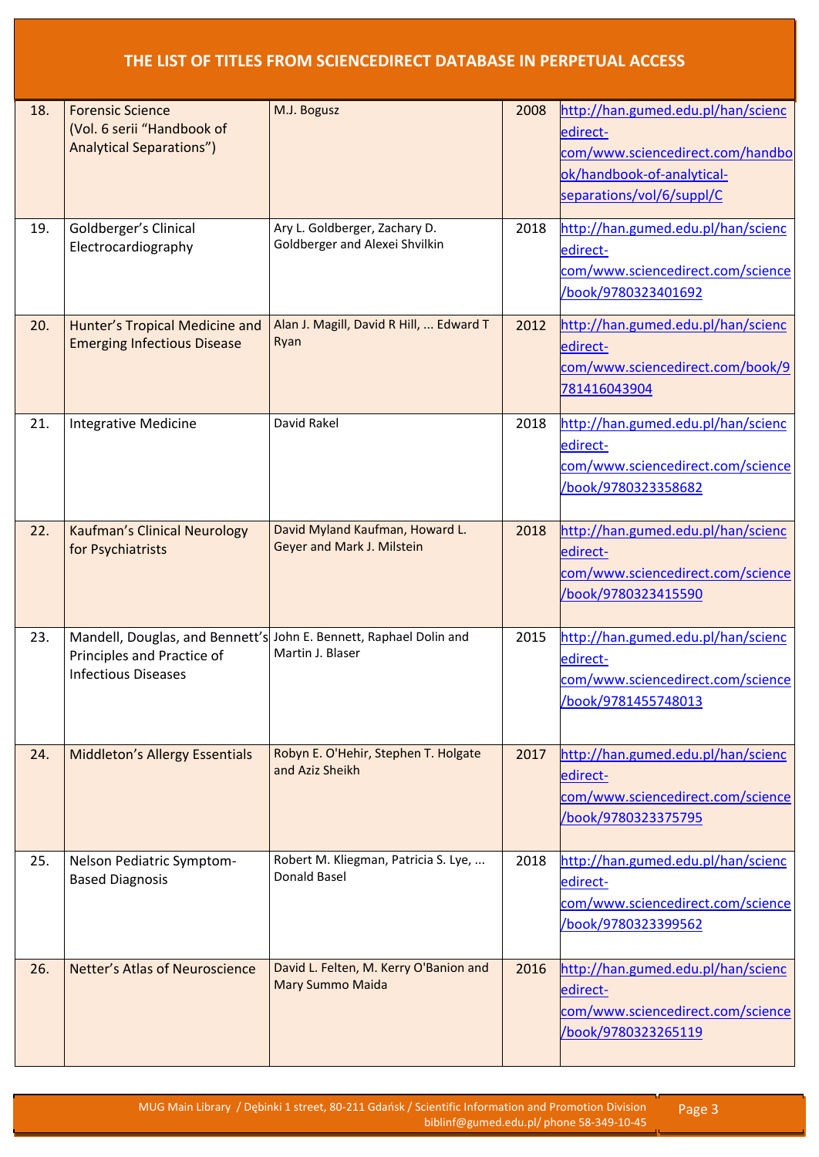| 18. | <b>Forensic Science</b><br>(Vol. 6 serii "Handbook of<br><b>Analytical Separations")</b> | M.J. Bogusz                                                                            | 2008 | http://han.gumed.edu.pl/han/scienc<br>edirect-<br>com/www.sciencedirect.com/handbo<br>ok/handbook-of-analytical-<br>separations/vol/6/suppl/C |
|-----|------------------------------------------------------------------------------------------|----------------------------------------------------------------------------------------|------|-----------------------------------------------------------------------------------------------------------------------------------------------|
| 19. | Goldberger's Clinical<br>Electrocardiography                                             | Ary L. Goldberger, Zachary D.<br>Goldberger and Alexei Shvilkin                        | 2018 | http://han.gumed.edu.pl/han/scienc<br>edirect-<br>com/www.sciencedirect.com/science<br>/book/9780323401692                                    |
| 20. | Hunter's Tropical Medicine and<br><b>Emerging Infectious Disease</b>                     | Alan J. Magill, David R Hill,  Edward T<br>Ryan                                        | 2012 | http://han.gumed.edu.pl/han/scienc<br>edirect-<br>com/www.sciencedirect.com/book/9<br>781416043904                                            |
| 21. | Integrative Medicine                                                                     | David Rakel                                                                            | 2018 | http://han.gumed.edu.pl/han/scienc<br>edirect-<br>com/www.sciencedirect.com/science<br>book/9780323358682                                     |
| 22. | <b>Kaufman's Clinical Neurology</b><br>for Psychiatrists                                 | David Myland Kaufman, Howard L.<br>Geyer and Mark J. Milstein                          | 2018 | http://han.gumed.edu.pl/han/scienc<br>edirect-<br>com/www.sciencedirect.com/science<br>/book/9780323415590                                    |
| 23. | Principles and Practice of<br><b>Infectious Diseases</b>                                 | Mandell, Douglas, and Bennett's John E. Bennett, Raphael Dolin and<br>Martin J. Blaser | 2015 | http://han.gumed.edu.pl/han/scienc<br>edirect-<br>com/www.sciencedirect.com/science<br>/book/9781455748013                                    |
| 24. | <b>Middleton's Allergy Essentials</b>                                                    | Robyn E. O'Hehir, Stephen T. Holgate<br>and Aziz Sheikh                                | 2017 | http://han.gumed.edu.pl/han/scienc<br>edirect-<br>com/www.sciencedirect.com/science<br>/book/9780323375795                                    |
| 25. | Nelson Pediatric Symptom-<br><b>Based Diagnosis</b>                                      | Robert M. Kliegman, Patricia S. Lye,<br>Donald Basel                                   | 2018 | http://han.gumed.edu.pl/han/scienc<br>edirect-<br>com/www.sciencedirect.com/science<br>book/9780323399562                                     |
| 26. | Netter's Atlas of Neuroscience                                                           | David L. Felten, M. Kerry O'Banion and<br>Mary Summo Maida                             | 2016 | http://han.gumed.edu.pl/han/scienc<br>edirect-<br>com/www.sciencedirect.com/science<br>/book/9780323265119                                    |